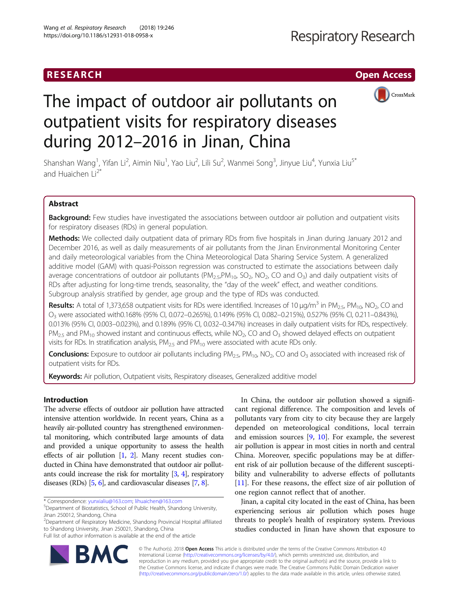## RESEARCH **RESEARCH CHOOSE ACCESS**



# The impact of outdoor air pollutants on outpatient visits for respiratory diseases during 2012–2016 in Jinan, China

Shanshan Wang<sup>1</sup>, Yifan Li<sup>2</sup>, Aimin Niu<sup>1</sup>, Yao Liu<sup>2</sup>, Lili Su<sup>2</sup>, Wanmei Song<sup>3</sup>, Jinyue Liu<sup>4</sup>, Yunxia Liu<sup>s\*</sup> and Huaichen  $Li<sup>2*</sup>$ 

## Abstract

Background: Few studies have investigated the associations between outdoor air pollution and outpatient visits for respiratory diseases (RDs) in general population.

Methods: We collected daily outpatient data of primary RDs from five hospitals in Jinan during January 2012 and December 2016, as well as daily measurements of air pollutants from the Jinan Environmental Monitoring Center and daily meteorological variables from the China Meteorological Data Sharing Service System. A generalized additive model (GAM) with quasi-Poisson regression was constructed to estimate the associations between daily average concentrations of outdoor air pollutants ( $PM_{2.5}PM_{10}$ ,  $SO_2$ ,  $NO_2$ ,  $CO$  and  $O_3$ ) and daily outpatient visits of RDs after adjusting for long-time trends, seasonality, the "day of the week" effect, and weather conditions. Subgroup analysis stratified by gender, age group and the type of RDs was conducted.

**Results:** A total of 1,373,658 outpatient visits for RDs were identified. Increases of 10  $\mu$ g/m<sup>3</sup> in PM<sub>2.5</sub>, PM<sub>10</sub>, NO<sub>2</sub>, CO and O3 were associated with0.168% (95% CI, 0.072–0.265%), 0.149% (95% CI, 0.082–0.215%), 0.527% (95% CI, 0.211–0.843%), 0.013% (95% CI, 0.003–0.023%), and 0.189% (95% CI, 0.032–0.347%) increases in daily outpatient visits for RDs, respectively.  $PM_{2.5}$  and  $PM_{10}$  showed instant and continuous effects, while NO<sub>2</sub>, CO and O<sub>3</sub> showed delayed effects on outpatient visits for RDs. In stratification analysis,  $PM_{2.5}$  and  $PM_{10}$  were associated with acute RDs only.

**Conclusions:** Exposure to outdoor air pollutants including  $PM_{2.5}$ ,  $PM_{10}$ ,  $NO_2$ , CO and  $O_3$  associated with increased risk of outpatient visits for RDs.

Keywords: Air pollution, Outpatient visits, Respiratory diseases, Generalized additive model

## Introduction

The adverse effects of outdoor air pollution have attracted intensive attention worldwide. In recent years, China as a heavily air-polluted country has strengthened environmental monitoring, which contributed large amounts of data and provided a unique opportunity to assess the health effects of air pollution [\[1](#page-6-0), [2\]](#page-6-0). Many recent studies conducted in China have demonstrated that outdoor air pollutants could increase the risk for mortality [\[3](#page-6-0), [4](#page-6-0)], respiratory diseases (RDs) [\[5,](#page-6-0) [6](#page-6-0)], and cardiovascular diseases [\[7,](#page-6-0) [8\]](#page-6-0).

\* Correspondence: [yunxialiu@163.com;](mailto:yunxialiu@163.com) [lihuaichen@163.com](mailto:lihuaichen@163.com) <sup>5</sup>

2 Department of Respiratory Medicine, Shandong Provincial Hospital affiliated to Shandong University, Jinan 250021, Shandong, China Full list of author information is available at the end of the article

In China, the outdoor air pollution showed a significant regional difference. The composition and levels of pollutants vary from city to city because they are largely depended on meteorological conditions, local terrain and emission sources [\[9](#page-6-0), [10](#page-6-0)]. For example, the severest air pollution is appear in most cities in north and central China. Moreover, specific populations may be at different risk of air pollution because of the different susceptibility and vulnerability to adverse effects of pollutants [[11\]](#page-6-0). For these reasons, the effect size of air pollution of one region cannot reflect that of another.

Jinan, a capital city located in the east of China, has been experiencing serious air pollution which poses huge threats to people's health of respiratory system. Previous studies conducted in Jinan have shown that exposure to



© The Author(s). 2018 Open Access This article is distributed under the terms of the Creative Commons Attribution 4.0 International License [\(http://creativecommons.org/licenses/by/4.0/](http://creativecommons.org/licenses/by/4.0/)), which permits unrestricted use, distribution, and reproduction in any medium, provided you give appropriate credit to the original author(s) and the source, provide a link to the Creative Commons license, and indicate if changes were made. The Creative Commons Public Domain Dedication waiver [\(http://creativecommons.org/publicdomain/zero/1.0/](http://creativecommons.org/publicdomain/zero/1.0/)) applies to the data made available in this article, unless otherwise stated.

Department of Biostatistics, School of Public Health, Shandong University, Jinan 250012, Shandong, China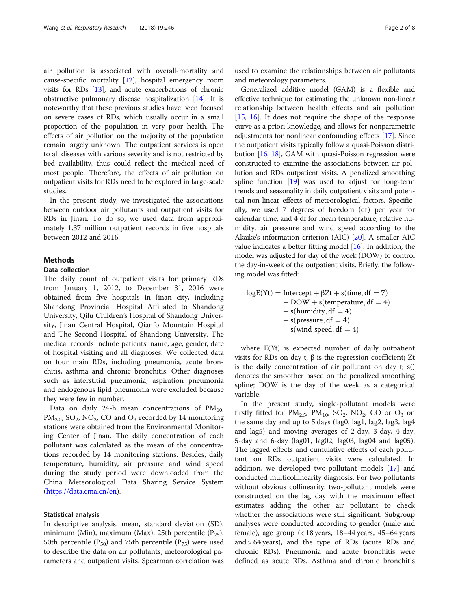air pollution is associated with overall-mortality and cause-specific mortality [\[12](#page-6-0)], hospital emergency room visits for RDs [[13](#page-6-0)], and acute exacerbations of chronic obstructive pulmonary disease hospitalization [\[14](#page-6-0)]. It is noteworthy that these previous studies have been focused on severe cases of RDs, which usually occur in a small proportion of the population in very poor health. The effects of air pollution on the majority of the population remain largely unknown. The outpatient services is open to all diseases with various severity and is not restricted by bed availability, thus could reflect the medical need of most people. Therefore, the effects of air pollution on outpatient visits for RDs need to be explored in large-scale studies.

In the present study, we investigated the associations between outdoor air pollutants and outpatient visits for RDs in Jinan. To do so, we used data from approximately 1.37 million outpatient records in five hospitals between 2012 and 2016.

## **Methods**

## Data collection

The daily count of outpatient visits for primary RDs from January 1, 2012, to December 31, 2016 were obtained from five hospitals in Jinan city, including Shandong Provincial Hospital Affiliated to Shandong University, Qilu Children's Hospital of Shandong University, Jinan Central Hospital, Qianfo Mountain Hospital and The Second Hospital of Shandong University. The medical records include patients' name, age, gender, date of hospital visiting and all diagnoses. We collected data on four main RDs, including pneumonia, acute bronchitis, asthma and chronic bronchitis. Other diagnoses such as interstitial pneumonia, aspiration pneumonia and endogenous lipid pneumonia were excluded because they were few in number.

Data on daily 24-h mean concentrations of  $PM_{10}$ ,  $PM_{2.5}$ , SO<sub>2</sub>, NO<sub>2</sub>, CO and O<sub>3</sub> recorded by 14 monitoring stations were obtained from the Environmental Monitoring Center of Jinan. The daily concentration of each pollutant was calculated as the mean of the concentrations recorded by 14 monitoring stations. Besides, daily temperature, humidity, air pressure and wind speed during the study period were downloaded from the China Meteorological Data Sharing Service System ([https://data.cma.cn/en\)](https://data.cma.cn/en).

## Statistical analysis

In descriptive analysis, mean, standard deviation (SD), minimum (Min), maximum (Max), 25th percentile  $(P_{25})$ , 50th percentile ( $P_{50}$ ) and 75th percentile ( $P_{75}$ ) were used to describe the data on air pollutants, meteorological parameters and outpatient visits. Spearman correlation was

used to examine the relationships between air pollutants and meteorology parameters.

Generalized additive model (GAM) is a flexible and effective technique for estimating the unknown non-linear relationship between health effects and air pollution [[15,](#page-6-0) [16](#page-6-0)]. It does not require the shape of the response curve as a priori knowledge, and allows for nonparametric adjustments for nonlinear confounding effects [\[17\]](#page-6-0). Since the outpatient visits typically follow a quasi-Poisson distribution [\[16,](#page-6-0) [18\]](#page-6-0), GAM with quasi-Poisson regression were constructed to examine the associations between air pollution and RDs outpatient visits. A penalized smoothing spline function [[19\]](#page-6-0) was used to adjust for long-term trends and seasonality in daily outpatient visits and potential non-linear effects of meteorological factors. Specifically, we used 7 degrees of freedom (df) per year for calendar time, and 4 df for mean temperature, relative humidity, air pressure and wind speed according to the Akaike's information criterion (AIC) [[20\]](#page-6-0). A smaller AIC value indicates a better fitting model  $[16]$  $[16]$ . In addition, the model was adjusted for day of the week (DOW) to control the day-in-week of the outpatient visits. Briefly, the following model was fitted:

 $log E(Yt) = Interept + \beta Zt + s(time, df = 7)$  $+$  DOW  $+$  s (temperature, df = 4)  $+$  s (humidity, df = 4)  $+$  s (pressure, df = 4)  $+$  s (wind speed, df  $=$  4)

where E(Yt) is expected number of daily outpatient visits for RDs on day t; β is the regression coefficient; Zt is the daily concentration of air pollutant on day  $t$ ;  $s()$ denotes the smoother based on the penalized smoothing spline; DOW is the day of the week as a categorical variable.

In the present study, single-pollutant models were firstly fitted for  $PM_{2.5}$ ,  $PM_{10}$ ,  $SO_2$ ,  $NO_2$ ,  $CO$  or  $O_3$  on the same day and up to 5 days (lag0, lag1, lag2, lag3, lag4 and lag5) and moving averages of 2-day, 3-day, 4-day, 5-day and 6-day (lag01, lag02, lag03, lag04 and lag05). The lagged effects and cumulative effects of each pollutant on RDs outpatient visits were calculated. In addition, we developed two-pollutant models [[17](#page-6-0)] and conducted multicollinearity diagnosis. For two pollutants without obvious collinearity, two-pollutant models were constructed on the lag day with the maximum effect estimates adding the other air pollutant to check whether the associations were still significant. Subgroup analyses were conducted according to gender (male and female), age group (< 18 years, 18–44 years, 45–64 years and > 64 years), and the type of RDs (acute RDs and chronic RDs). Pneumonia and acute bronchitis were defined as acute RDs. Asthma and chronic bronchitis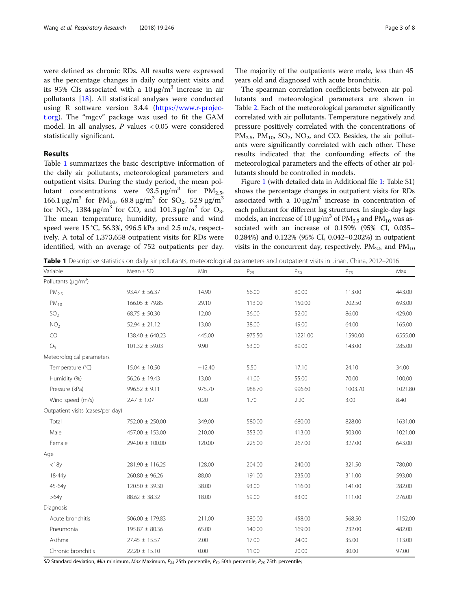were defined as chronic RDs. All results were expressed as the percentage changes in daily outpatient visits and its 95% CIs associated with a  $10 \mu g/m^3$  increase in air pollutants [[18](#page-6-0)]. All statistical analyses were conducted using R software version 3.4.4 ([https://www.r-projec](https://www.r-project.org)[t.org\)](https://www.r-project.org). The "mgcv" package was used to fit the GAM model. In all analyses, P values < 0.05 were considered statistically significant.

## Results

Table 1 summarizes the basic descriptive information of the daily air pollutants, meteorological parameters and outpatient visits. During the study period, the mean pollutant concentrations were  $93.5 \,\mathrm{\mu g/m^3}$  for  $PM_{2.5}$ , 166.1 μg/m<sup>3</sup> for PM<sub>10</sub>, 68.8 μg/m<sup>3</sup> for SO<sub>2</sub>, 52.9 μg/m<sup>3</sup> for NO<sub>2</sub>, 1384 μg/m<sup>3</sup> for CO, and 101.3 μg/m<sup>3</sup> for O<sub>3</sub>. The mean temperature, humidity, pressure and wind speed were 15 °C, 56.3%, 996.5 kPa and 2.5 m/s, respectively. A total of 1,373,658 outpatient visits for RDs were identified, with an average of 752 outpatients per day.

The majority of the outpatients were male, less than 45 years old and diagnosed with acute bronchitis.

The spearman correlation coefficients between air pollutants and meteorological parameters are shown in Table [2.](#page-3-0) Each of the meteorological parameter significantly correlated with air pollutants. Temperature negatively and pressure positively correlated with the concentrations of  $PM_{2.5}$ ,  $PM_{10}$ ,  $SO_2$ ,  $NO_2$ , and CO. Besides, the air pollutants were significantly correlated with each other. These results indicated that the confounding effects of the meteorological parameters and the effects of other air pollutants should be controlled in models.

Figure [1](#page-3-0) (with detailed data in Additional file [1](#page-6-0): Table S1) shows the percentage changes in outpatient visits for RDs associated with a  $10 \mu g/m^3$  increase in concentration of each pollutant for different lag structures. In single-day lags models, an increase of 10  $\mu$ g/m<sup>3</sup> of PM<sub>2.5</sub> and PM<sub>10</sub> was associated with an increase of 0.159% (95% CI, 0.035– 0.284%) and 0.122% (95% CI, 0.042–0.202%) in outpatient visits in the concurrent day, respectively.  $PM_{2.5}$  and  $PM_{10}$ 

Table 1 Descriptive statistics on daily air pollutants, meteorological parameters and outpatient visits in Jinan, China, 2012–2016

| Variable                              | $Mean \pm SD$       | Min      | $P_{25}$ | $P_{50}$ | $P_{75}$ | Max     |
|---------------------------------------|---------------------|----------|----------|----------|----------|---------|
| Pollutants ( $\mu$ g/m <sup>3</sup> ) |                     |          |          |          |          |         |
| PM <sub>25</sub>                      | $93.47 \pm 56.37$   | 14.90    | 56.00    | 80.00    | 113.00   | 443.00  |
| $PM_{10}$                             | $166.05 \pm 79.85$  | 29.10    | 113.00   | 150.00   | 202.50   | 693.00  |
| SO <sub>2</sub>                       | $68.75 \pm 50.30$   | 12.00    | 36.00    | 52.00    | 86.00    | 429.00  |
| NO <sub>2</sub>                       | $52.94 \pm 21.12$   | 13.00    | 38.00    | 49.00    | 64.00    | 165.00  |
| CO                                    | $138.40 \pm 640.23$ | 445.00   | 975.50   | 1221.00  | 1590.00  | 6555.00 |
| O <sub>3</sub>                        | $101.32 \pm 59.03$  | 9.90     | 53.00    | 89.00    | 143.00   | 285.00  |
| Meteorological parameters             |                     |          |          |          |          |         |
| Temperature (°C)                      | $15.04 \pm 10.50$   | $-12.40$ | 5.50     | 17.10    | 24.10    | 34.00   |
| Humidity (%)                          | $56.26 \pm 19.43$   | 13.00    | 41.00    | 55.00    | 70.00    | 100.00  |
| Pressure (kPa)                        | $996.52 \pm 9.11$   | 975.70   | 988.70   | 996.60   | 1003.70  | 1021.80 |
| Wind speed (m/s)                      | $2.47 \pm 1.07$     | 0.20     | 1.70     | 2.20     | 3.00     | 8.40    |
| Outpatient visits (cases/per day)     |                     |          |          |          |          |         |
| Total                                 | 752.00 ± 250.00     | 349.00   | 580.00   | 680.00   | 828.00   | 1631.00 |
| Male                                  | 457.00 ± 153.00     | 210.00   | 353.00   | 413.00   | 503.00   | 1021.00 |
| Female                                | 294.00 ± 100.00     | 120.00   | 225.00   | 267.00   | 327.00   | 643.00  |
| Age                                   |                     |          |          |          |          |         |
| $<$ 18 $y$                            | $281.90 \pm 116.25$ | 128.00   | 204.00   | 240.00   | 321.50   | 780.00  |
| $18 - 44v$                            | $260.80 \pm 96.26$  | 88.00    | 191.00   | 235.00   | 311.00   | 593.00  |
| 45-64y                                | $120.50 \pm 39.30$  | 38.00    | 93.00    | 116.00   | 141.00   | 282.00  |
| $>64y$                                | $88.62 \pm 38.32$   | 18.00    | 59.00    | 83.00    | 111.00   | 276.00  |
| Diagnosis                             |                     |          |          |          |          |         |
| Acute bronchitis                      | $506.00 \pm 179.83$ | 211.00   | 380.00   | 458.00   | 568.50   | 1152.00 |
| Pneumonia                             | $195.87 \pm 80.36$  | 65.00    | 140.00   | 169.00   | 232.00   | 482.00  |
| Asthma                                | $27.45 \pm 15.57$   | 2.00     | 17.00    | 24.00    | 35.00    | 113.00  |
| Chronic bronchitis                    | $22.20 \pm 15.10$   | 0.00     | 11.00    | 20.00    | 30.00    | 97.00   |

SD Standard deviation, Min minimum, Max Maximum,  $P_{25}$  25th percentile,  $P_{50}$  50th percentile,  $P_{75}$  75th percentile;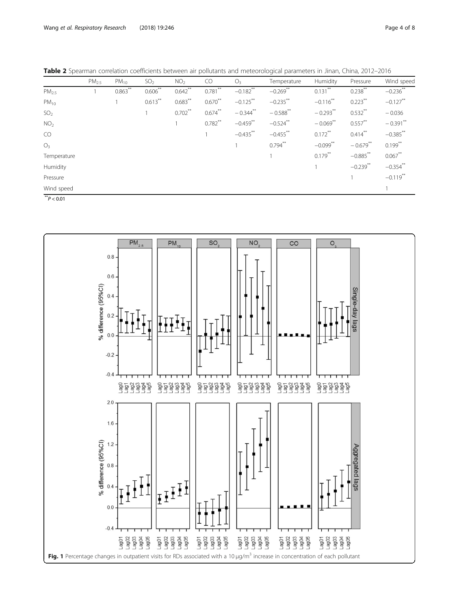<span id="page-3-0"></span>Table 2 Spearman correlation coefficients between air pollutants and meteorological parameters in Jinan, China, 2012-2016

|                                                 | PM <sub>25</sub> | $PM_{10}$  | SO <sub>2</sub> | NO <sub>2</sub> | CO         | O <sub>3</sub> | Temperature | Humidity    | Pressure    | Wind speed  |
|-------------------------------------------------|------------------|------------|-----------------|-----------------|------------|----------------|-------------|-------------|-------------|-------------|
| PM <sub>25</sub>                                |                  | $0.863$ ** | $0.606**$       | $0.642$ **      | $0.781$ ** | $-0.182$ **    | $-0.269$ ** | $0.131$ **  | $0.238***$  | $-0.236$ ** |
| $PM_{10}$                                       |                  |            | $0.613***$      | $0.683$ **      | $0.670**$  | $-0.125***$    | $-0.235***$ | $-0.116$ ** | $0.223***$  | $-0.127$ ** |
| SO <sub>2</sub>                                 |                  |            |                 | $0.702***$      | $0.674$ ** | $-0.344$ **    | $-0.588$ ** | $-0.293**$  | $0.532***$  | $-0.036$    |
| NO <sub>2</sub>                                 |                  |            |                 |                 | $0.782$ ** | $-0.459$ **    | $-0.524$ ** | $-0.069$ ** | $0.557***$  | $-0.391$ ** |
| CO                                              |                  |            |                 |                 |            | $-0.435***$    | $-0.455***$ | $0.172***$  | $0.414***$  | $-0.385***$ |
| O <sub>3</sub>                                  |                  |            |                 |                 |            |                | $0.794***$  | $-0.099***$ | $-0.679**$  | $0.199***$  |
| Temperature                                     |                  |            |                 |                 |            |                |             | $0.179$ **  | $-0.885$ ** | $0.067$ **  |
| Humidity                                        |                  |            |                 |                 |            |                |             |             | $-0.239$ ** | $-0.354$ ** |
| Pressure                                        |                  |            |                 |                 |            |                |             |             |             | $-0.119$ ** |
| Wind speed                                      |                  |            |                 |                 |            |                |             |             |             |             |
| $**$ <sup><math>\sim</math></sup> $\sim$ $\sim$ |                  |            |                 |                 |            |                |             |             |             |             |

 $\mathrm{^{\text{*}}P}$   $<$  0.01

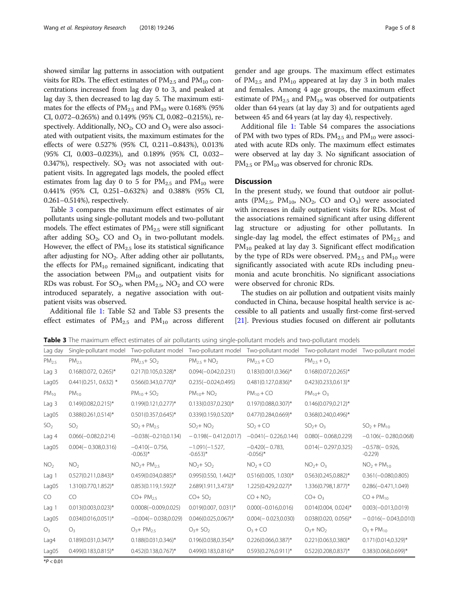showed similar lag patterns in association with outpatient visits for RDs. The effect estimates of  $PM_{2.5}$  and  $PM_{10}$  concentrations increased from lag day 0 to 3, and peaked at lag day 3, then decreased to lag day 5. The maximum estimates for the effects of  $PM_{2.5}$  and  $PM_{10}$  were 0.168% (95%) CI, 0.072–0.265%) and 0.149% (95% CI, 0.082–0.215%), respectively. Additionally,  $NO<sub>2</sub>$ , CO and  $O<sub>3</sub>$  were also associated with outpatient visits, the maximum estimates for the effects of were 0.527% (95% CI, 0.211–0.843%), 0.013% (95% CI, 0.003–0.023%), and 0.189% (95% CI, 0.032– 0.347%), respectively.  $SO_2$  was not associated with outpatient visits. In aggregated lags models, the pooled effect estimates from lag day 0 to 5 for  $PM_{2.5}$  and  $PM_{10}$  were 0.441% (95% CI, 0.251–0.632%) and 0.388% (95% CI, 0.261–0.514%), respectively.

Table 3 compares the maximum effect estimates of air pollutants using single-pollutant models and two-pollutant models. The effect estimates of  $PM_{2.5}$  were still significant after adding  $SO_2$ , CO and  $O_3$  in two-pollutant models. However, the effect of  $PM_{2.5}$  lose its statistical significance after adjusting for NO<sub>2</sub>. After adding other air pollutants, the effects for  $PM_{10}$  remained significant, indicating that the association between  $PM_{10}$  and outpatient visits for RDs was robust. For  $SO_2$ , when  $PM_{2.5}$ ,  $NO_2$  and CO were introduced separately, a negative association with outpatient visits was observed.

Additional file [1](#page-6-0): Table S2 and Table S3 presents the effect estimates of  $PM_{2.5}$  and  $PM_{10}$  across different gender and age groups. The maximum effect estimates of  $PM_{2.5}$  and  $PM_{10}$  appeared at lay day 3 in both males and females. Among 4 age groups, the maximum effect estimate of  $PM_{2.5}$  and  $PM_{10}$  was observed for outpatients older than 64 years (at lay day 3) and for outpatients aged between 45 and 64 years (at lay day 4), respectively.

Additional file [1:](#page-6-0) Table S4 compares the associations of PM with two types of RDs.  $PM_{2.5}$  and  $PM_{10}$  were associated with acute RDs only. The maximum effect estimates were observed at lay day 3. No significant association of  $PM_{2.5}$  or  $PM_{10}$  was observed for chronic RDs.

## **Discussion**

In the present study, we found that outdoor air pollutants ( $PM_{2.5}$ ,  $PM_{10}$ ,  $NO_2$ ,  $CO$  and  $O_3$ ) were associated with increases in daily outpatient visits for RDs. Most of the associations remained significant after using different lag structure or adjusting for other pollutants. In single-day lag model, the effect estimates of  $PM_{2.5}$  and  $PM_{10}$  peaked at lay day 3. Significant effect modification by the type of RDs were observed.  $PM_{2.5}$  and  $PM_{10}$  were significantly associated with acute RDs including pneumonia and acute bronchitis. No significant associations were observed for chronic RDs.

The studies on air pollution and outpatient visits mainly conducted in China, because hospital health service is accessible to all patients and usually first-come first-served [[21](#page-6-0)]. Previous studies focused on different air pollutants

Table 3 The maximum effect estimates of air pollutants using single-pollutant models and two-pollutant models

| Lag day          | Single-pollutant model    | Two-pollutant model                       | Two-pollutant model                         | Two-pollutant model                       | Two-pollutant model Two-pollutant model |                              |
|------------------|---------------------------|-------------------------------------------|---------------------------------------------|-------------------------------------------|-----------------------------------------|------------------------------|
| PM <sub>25</sub> | $PM_{25}$                 | $PM25+ SO2$                               | $PM_{25} + NO_{2}$                          | $PM_{25}$ + CO                            | $PM_{25} + O_{3}$                       |                              |
| Laq <sub>3</sub> | $0.168(0.072, 0.265)^*$   | $0.217(0.105, 0.328)^{*}$                 | $0.094(-0.042, 0.231)$                      | $0.183(0.001, 0.366)^*$                   | $0.168(0.072,0.265)^*$                  |                              |
| Lag05            | $0.441(0.251, 0.632)$ *   | $0.566(0.343, 0.770)$ *                   | $0.235(-0.024, 0.495)$                      | $0.481(0.127, 0.836)^{*}$                 | $0.423(0.233, 0.613)^{*}$               |                              |
| $PM_{10}$        | $PM_{10}$                 | $PM_{10} + SO_2$                          | $PM_{10} + NO_2$                            | $PM_{10}$ + CO                            | $PM_{10} + O_3$                         |                              |
| Laq <sub>3</sub> | $0.149(0.082, 0.215)^*$   | $0.199(0.121, 0.277)^*$                   | $0.133(0.037, 0.230)^*$                     | $0.197(0.088, 0.307)^*$                   | $0.146(0.079, 0.212)^{*}$               |                              |
| Lag05            | $0.388(0.261, 0.514)^*$   | $0.501(0.357, 0.645)^*$                   | $0.339(0.159, 0.520)$ *                     | $0.477(0.284, 0.669)^*$                   | $0.368(0.240, 0.496)^*$                 |                              |
| SO <sub>2</sub>  | SO <sub>2</sub>           | $SO2 + PM25$                              | $SO2+ NO2$                                  | $SO2 + CO$                                | $SO_2 + O_3$                            | $SO2 + PM10$                 |
| Lag 4            | $0.066(-0.082, 0.214)$    | $-0.038(-0.210, 0.134)$                   | $-0.198(-0.412,0.017)$                      | $-0.041(-0.226, 0.144)$                   | $0.080(-0.068, 0.229)$                  | $-0.106(-0.280,0.068)$       |
| Lag05            | $0.004(-0.308,0.316)$     | $-0.410(-0.756.$<br>$-0.063$ <sup>*</sup> | $-1.091(-1.527)$ .<br>$-0.653$ <sup>*</sup> | $-0.420(-0.783,$<br>$-0.056$ <sup>*</sup> | $0.014(-0.297, 0.325)$                  | $-0.578(-0.926.$<br>$-0.229$ |
| NO <sub>2</sub>  | NO <sub>2</sub>           | $NO2+PM25$                                | $NO2+ SO2$                                  | $NO2 + CO$                                | $NO2+O3$                                | $NO2 + PM10$                 |
| Lag 1            | 0.527(0.211,0.843)*       | $0.459(0.034, 0.885)^*$                   | $0.995(0.550, 1.442)^*$                     | $0.516(0.005, 1.030)^*$                   | $0.563(0.245, 0.882)^{*}$               | $0.361(-0.080, 0.805)$       |
| Lag05            | 1.310(0.770,1.852)*       | $0.853(0.119, 1.592)^{*}$                 | 2.689(1.911,3.473)*                         | 1.225(0.429,2.027)*                       | 1.336(0.798,1.877)*                     | $0.286(-0.471,1.049)$        |
| CO.              | CO.                       | $CO+PM_{25}$                              | $CO + SO2$                                  | $CO + NO2$                                | $CO + O3$                               | $CO + PM_{10}$               |
| Laq <sub>1</sub> | $0.013(0.003, 0.023)^*$   | $0.0008(-0.009, 0.025)$                   | $0.019(0.007, 0.031)^*$                     | $0.000(-0.016, 0.016)$                    | $0.014(0.004, 0.024)^*$                 | $0.003(-0.013, 0.019)$       |
| Lag05            | $0.034(0.016, 0.051)^{*}$ | $-0.004(-0.038,0.029)$                    | $0.046(0.025, 0.067)^*$                     | $0.004(-0.023,0.030)$                     | $0.038(0.020, 0.056)^*$                 | $-0.016(-0.043,0.010)$       |
| O <sub>3</sub>   | $O_3$                     | $O_3 + PM_2$                              | $O_3 + SO_2$                                | $O_3 + CO$                                | $O_3$ + NO <sub>2</sub>                 | $O_3 + PM_{10}$              |
| Laq4             | $0.189(0.031, 0.347)^*$   | $0.188(0.031, 0.346)^*$                   | $0.196(0.038, 0.354)$ *                     | $0.226(0.066, 0.387)^*$                   | $0.221(0.063,0.380)$ *                  | $0.171(0.014, 0.329)^*$      |
| Lag05            | 0.499(0.183,0.815)*       | $0.452(0.138, 0.767)^*$                   | $0.499(0.183, 0.816)^*$                     | 0.593(0.276,0.911)*                       | $0.522(0.208, 0.837)^*$                 | $0.383(0.068, 0.699)^*$      |

 $*P < 0.01$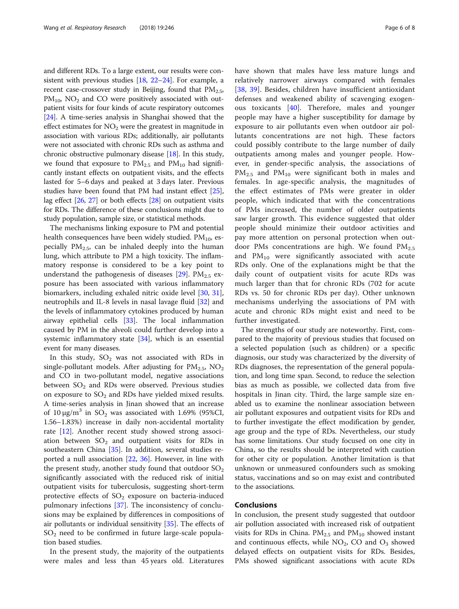and different RDs. To a large extent, our results were consistent with previous studies [[18](#page-6-0), [22](#page-6-0)–[24](#page-7-0)]. For example, a recent case-crossover study in Beijing, found that  $PM_{2.5}$ ,  $PM_{10}$ ,  $NO_2$  and CO were positively associated with outpatient visits for four kinds of acute respiratory outcomes [[24](#page-7-0)]. A time-series analysis in Shanghai showed that the effect estimates for  $NO<sub>2</sub>$  were the greatest in magnitude in association with various RDs; additionally, air pollutants were not associated with chronic RDs such as asthma and chronic obstructive pulmonary disease [\[18\]](#page-6-0). In this study, we found that exposure to  $PM_{2.5}$  and  $PM_{10}$  had significantly instant effects on outpatient visits, and the effects lasted for 5–6 days and peaked at 3 days later. Previous studies have been found that PM had instant effect [[25](#page-7-0)], lag effect [[26](#page-7-0), [27](#page-7-0)] or both effects [\[28\]](#page-7-0) on outpatient visits for RDs. The difference of these conclusions might due to study population, sample size, or statistical methods.

The mechanisms linking exposure to PM and potential health consequences have been widely studied.  $PM_{10}$ , especially  $PM_{2.5}$ , can be inhaled deeply into the human lung, which attribute to PM a high toxicity. The inflammatory response is considered to be a key point to understand the pathogenesis of diseases  $[29]$ . PM<sub>2.5</sub> exposure has been associated with various inflammatory biomarkers, including exhaled nitric oxide level [\[30,](#page-7-0) [31](#page-7-0)], neutrophils and IL-8 levels in nasal lavage fluid [\[32](#page-7-0)] and the levels of inflammatory cytokines produced by human airway epithelial cells [\[33](#page-7-0)]. The local inflammation caused by PM in the alveoli could further develop into a systemic inflammatory state [\[34\]](#page-7-0), which is an essential event for many diseases.

In this study,  $SO_2$  was not associated with RDs in single-pollutant models. After adjusting for  $PM_{2.5}$ ,  $NO_2$ and CO in two-pollutant model, negative associations between  $SO<sub>2</sub>$  and RDs were observed. Previous studies on exposure to  $SO<sub>2</sub>$  and RDs have yielded mixed results. A time-series analysis in Jinan showed that an increase of 10  $\mu$ g/m<sup>3</sup> in SO<sub>2</sub> was associated with 1.69% (95%CI, 1.56–1.83%) increase in daily non-accidental mortality rate [\[12](#page-6-0)]. Another recent study showed strong association between  $SO_2$  and outpatient visits for RDs in southeastern China [[35\]](#page-7-0). In addition, several studies reported a null association [\[22](#page-6-0), [36\]](#page-7-0). However, in line with the present study, another study found that outdoor  $SO<sub>2</sub>$ significantly associated with the reduced risk of initial outpatient visits for tuberculosis, suggesting short-term protective effects of  $SO_2$  exposure on bacteria-induced pulmonary infections [\[37](#page-7-0)]. The inconsistency of conclusions may be explained by differences in compositions of air pollutants or individual sensitivity [[35\]](#page-7-0). The effects of  $SO<sub>2</sub>$  need to be confirmed in future large-scale population based studies.

In the present study, the majority of the outpatients were males and less than 45 years old. Literatures have shown that males have less mature lungs and relatively narrower airways compared with females [[38,](#page-7-0) [39](#page-7-0)]. Besides, children have insufficient antioxidant defenses and weakened ability of scavenging exogenous toxicants [[40\]](#page-7-0). Therefore, males and younger people may have a higher susceptibility for damage by exposure to air pollutants even when outdoor air pollutants concentrations are not high. These factors could possibly contribute to the large number of daily outpatients among males and younger people. However, in gender-specific analysis, the associations of  $PM_{2.5}$  and  $PM_{10}$  were significant both in males and females. In age-specific analysis, the magnitudes of the effect estimates of PMs were greater in older people, which indicated that with the concentrations of PMs increased, the number of older outpatients saw larger growth. This evidence suggested that older people should minimize their outdoor activities and pay more attention on personal protection when outdoor PMs concentrations are high. We found  $PM_{2.5}$ and  $PM_{10}$  were significantly associated with acute RDs only. One of the explanations might be that the daily count of outpatient visits for acute RDs was much larger than that for chronic RDs (702 for acute RDs vs. 50 for chronic RDs per day). Other unknown mechanisms underlying the associations of PM with acute and chronic RDs might exist and need to be further investigated.

The strengths of our study are noteworthy. First, compared to the majority of previous studies that focused on a selected population (such as children) or a specific diagnosis, our study was characterized by the diversity of RDs diagnoses, the representation of the general population, and long time span. Second, to reduce the selection bias as much as possible, we collected data from five hospitals in Jinan city. Third, the large sample size enabled us to examine the nonlinear association between air pollutant exposures and outpatient visits for RDs and to further investigate the effect modification by gender, age group and the type of RDs. Nevertheless, our study has some limitations. Our study focused on one city in China, so the results should be interpreted with caution for other city or population. Another limitation is that unknown or unmeasured confounders such as smoking status, vaccinations and so on may exist and contributed to the associations.

## Conclusions

In conclusion, the present study suggested that outdoor air pollution associated with increased risk of outpatient visits for RDs in China.  $PM_{2.5}$  and  $PM_{10}$  showed instant and continuous effects, while  $NO<sub>2</sub>$ , CO and  $O<sub>3</sub>$  showed delayed effects on outpatient visits for RDs. Besides, PMs showed significant associations with acute RDs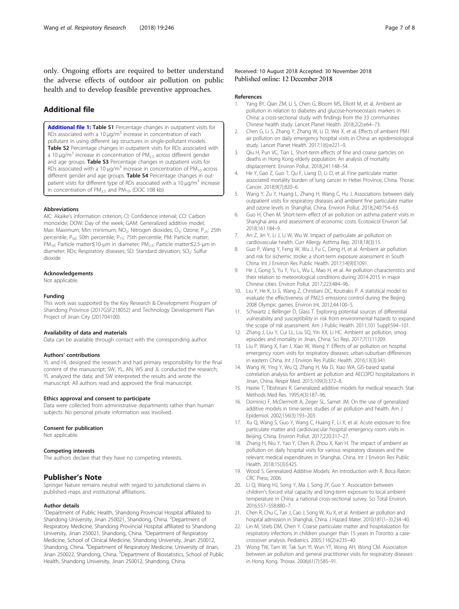<span id="page-6-0"></span>only. Ongoing efforts are required to better understand the adverse effects of outdoor air pollution on public health and to develop feasible preventive approaches.

## Additional file

[Additional file 1:](https://doi.org/10.1186/s12931-018-0958-x) Table S1 Percentage changes in outpatient visits for RDs associated with a 10  $\mu$ g/m<sup>3</sup> increase in concentration of each pollutant in using different lag structures in single-pollutant models. Table S2 Percentage changes in outpatient visits for RDs associated with a 10  $\mu$ q/m<sup>3</sup> increase in concentration of PM<sub>2.5</sub> across different gender and age groups. Table S3 Percentage changes in outpatient visits for RDs associated with a 10  $\mu$ g/m<sup>3</sup> increase in concentration of PM<sub>10</sub> across different gender and age groups. Table S4 Percentage changes in outpatient visits for different type of RDs associated with a 10  $\mu$ g/m<sup>3</sup> increase in concentration of  $PM<sub>2.5</sub>$  and  $PM<sub>10</sub>$ . (DOC 108 kb)

#### Abbreviations

AIC: Akaike's information criterion; CI: Confidence interval; CO: Carbon monoxide; DOW: Day of the week; GAM: Generalized additive model; Max: Maximum; Min: minimum; NO<sub>2</sub>: Nitrogen dioxides; O<sub>3</sub>: Ozone; P<sub>25</sub>: 25th percentile; P<sub>50</sub>: 50th percentile; P<sub>75</sub>: 75th percentile; PM: Particle matter; PM10: Particle matter≤10-μm in diameter; PM2.5: Particle matter≤2.5-μm in diameter; RDs: Respiratory diseases; SD: Standard deviation; SO<sub>2</sub>: Sulfur dioxide

#### Acknowledgements

Not applicable.

#### Funding

This work was supported by the Key Research & Development Program of Shandong Province (2017GSF218052) and Technology Development Plan Project of Jinan City (201704100).

#### Availability of data and materials

Data can be available through contact with the corresponding author.

#### Authors' contributions

YL and HL designed the research and had primary responsibility for the final content of the manuscript; SW, YL, AN, WS and JL conducted the research; YL analyzed the data; and SW interpreted the results and wrote the manuscript. All authors read and approved the final manuscript.

#### Ethics approval and consent to participate

Data were collected from administrative departments rather than human subjects. No personal private information was involved.

#### Consent for publication

Not applicable.

#### Competing interests

The authors declare that they have no competing interests.

## Publisher's Note

Springer Nature remains neutral with regard to jurisdictional claims in published maps and institutional affiliations.

#### Author details

<sup>1</sup>Department of Public Health, Shandong Provincial Hospital affiliated to Shandong University, Jinan 250021, Shandong, China. <sup>2</sup>Department of Respiratory Medicine, Shandong Provincial Hospital affiliated to Shandong University, Jinan 250021, Shandong, China. <sup>3</sup>Department of Respiratory Medicine, School of Clinical Medicine, Shandong University, Jinan 250012, Shandong, China. <sup>4</sup>Department of Respiratory Medicine, University of Jinan, Jinan 250022, Shandong, China. <sup>5</sup>Department of Biostatistics, School of Public Health, Shandong University, Jinan 250012, Shandong, China.

#### Received: 10 August 2018 Accepted: 30 November 2018 Published online: 12 December 2018

#### References

- 1. Yang BY, Qian ZM, Li S, Chen G, Bloom MS, Elliott M, et al. Ambient air pollution in relation to diabetes and glucose-homoeostasis markers in China: a cross-sectional study with findings from the 33 communities Chinese health study. Lancet Planet Health. 2018;2(2):e64–73.
- 2. Chen G, Li S, Zhang Y, Zhang W, Li D, Wei X, et al. Effects of ambient PM1 air pollution on daily emergency hospital visits in China: an epidemiological study. Lancet Planet Health. 2017;1(6):e221–9.
- Qiu H, Pun VC, Tian L. Short-term effects of fine and coarse particles on deaths in Hong Kong elderly population: An analysis of mortality displacement. Environ Pollut. 2018;241:148–54.
- 4. He Y, Gao Z, Guo T, Qu F, Liang D, Li D, et al. Fine particulate matter associated mortality burden of lung cancer in Hebei Province, China. Thorac Cancer. 2018;9(7):820–6.
- 5. Wang Y, Zu Y, Huang L, Zhang H, Wang C, Hu J. Associations between daily outpatient visits for respiratory diseases and ambient fine particulate matter and ozone levels in Shanghai, China. Environ Pollut. 2018;240:754–63.
- Guo H, Chen M. Short-term effect of air pollution on asthma patient visits in Shanghai area and assessment of economic costs. Ecotoxicol Environ Saf. 2018;161:184–9.
- 7. An Z, Jin Y, Li J, Li W, Wu W. Impact of particulate air pollution on cardiovascular health. Curr Allergy Asthma Rep. 2018;18(3):15.
- 8. Guo P, Wang Y, Feng W, Wu J, Fu C, Deng H, et al. Ambient air pollution and risk for ischemic stroke: a short-term exposure assessment in South China. Int J Environ Res Public Health. 2017;14(9):E1091.
- 9. He J, Gong S, Yu Y, Yu L, Wu L, Mao H, et al. Air pollution characteristics and their relation to meteorological conditions during 2014-2015 in major Chinese cities. Environ Pollut. 2017;223:484–96.
- 10. Liu Y, He K, Li S, Wang Z, Christiani DC, Koutrakis P. A statistical model to evaluate the effectiveness of PM2.5 emissions control during the Beijing 2008 Olympic games. Environ Int. 2012;44:100–5.
- 11. Schwartz J, Bellinger D, Glass T. Exploring potential sources of differential vulnerability and susceptibility in risk from environmental hazards to expand the scope of risk assessment. Am J Public Health. 2011;101 Suppl:S94–101.
- 12. Zhang J, Liu Y, Cui LL, Liu SQ, Yin XX, Li HC. Ambient air pollution, smog episodes and mortality in Jinan, China. Sci Rep. 2017;7(1):11209.
- 13. Liu P, Wang X, Fan J, Xiao W, Wang Y. Effects of air pollution on hospital emergency room visits for respiratory diseases: urban-suburban differences in eastern China. Int J Environ Res Public Health. 2016;13(3):341.
- 14. Wang W, Ying Y, Wu Q, Zhang H, Ma D, Xiao WA. GIS-based spatial correlation analysis for ambient air pollution and AECOPD hospitalizations in Jinan, China. Respir Med. 2015;109(3):372–8.
- 15. Hastie T, Tibshirani R. Generalized additive models for medical research. Stat Methods Med Res. 1995;4(3):187–96.
- 16. Dominici F, McDermott A, Zeger SL, Samet JM. On the use of generalized additive models in time-series studies of air pollution and health. Am J Epidemiol. 2002;156(3):193–203.
- 17. Xu Q, Wang S, Guo Y, Wang C, Huang F, Li X, et al. Acute exposure to fine particulate matter and cardiovascular hospital emergency room visits in Beijing, China. Environ Pollut. 2017;220:317–27.
- 18. Zhang H, Niu Y, Yao Y, Chen R, Zhou X, Kan H. The impact of ambient air pollution on daily hospital visits for various respiratory diseases and the relevant medical expenditures in Shanghai, China. Int J Environ Res Public Health. 2018;15(3):E425.
- 19. Wood S. Generalized Additive Models: An introduction with R. Boca Raton: CRC Press; 2006.
- 20. Li Q, Wang HJ, Song Y, Ma J, Song JY, Guo Y. Association between children's forced vital capacity and long-term exposure to local ambient temperature in China: a national cross-sectional survey. Sci Total Environ. 2016;557–558:880–7.
- 21. Chen R, Chu C, Tan J, Cao J, Song W, Xu X, et al. Ambient air pollution and hospital admission in Shanghai, China. J Hazard Mater. 2010;181(1–3):234–40.
- 22. Lin M, Stieb DM, Chen Y. Coarse particulate matter and hospitalization for respiratory infections in children younger than 15 years in Toronto: a casecrossover analysis. Pediatrics. 2005;116(2):e235–40.
- 23. Wong TW, Tam W, Tak Sun YI, Wun YT, Wong AH, Wong CM. Association between air pollution and general practitioner visits for respiratory diseases in Hong Kong. Thorax. 2006;61(7):585–91.